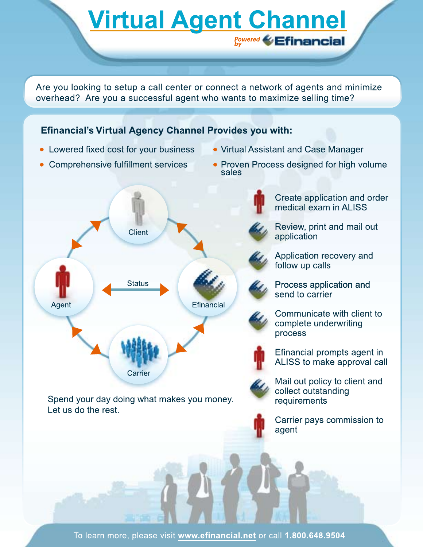Are you looking to setup a call center or connect a network of agents and minimize overhead? Are you a successful agent who wants to maximize selling time?

**Virtual Agent Channel** 

**Powered by**

# **Efinancial's Virtual Agency Channel Provides you with:**

eSupplemental.com

- Lowered fixed cost for your business
- Comprehensive fulfillment services
- Virtual Assistant and Case Manager
- Proven Process designed for high volume sales



Spend your day doing what makes you money. Let us do the rest.

Create application and order medical exam in ALISS

Review, print and mail out application

Application recovery and follow up calls

Process application and send to carrier

Communicate with client to complete underwriting process



Efinancial prompts agent in ALISS to make approval call



Mail out policy to client and collect outstanding requirements

Carrier pays commission to agent

To learn more, please visit www.efinancial.net or call 1.800.648.9504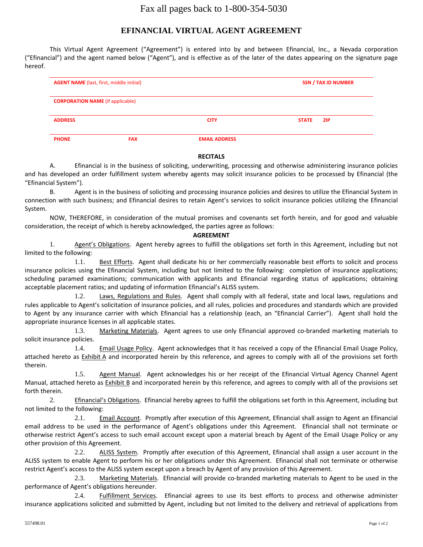# Fax all pages back to 1-800-354-5030

# **EFINANCIAL VIRTUAL AGENT AGREEMENT**

This Virtual Agent Agreement ("Agreement") is entered into by and between Efinancial, Inc., a Nevada corporation ("Efinancial") and the agent named below ("Agent"), and is effective as of the later of the dates appearing on the signature page hereof.

| <b>AGENT NAME</b> (last, first, middle initial) |            |                      | <b>SSN / TAX ID NUMBER</b> |
|-------------------------------------------------|------------|----------------------|----------------------------|
| <b>CORPORATION NAME</b> (if applicable)         |            |                      |                            |
| <b>ADDRESS</b>                                  |            | <b>CITY</b>          | ZIP.<br><b>STATE</b>       |
| <b>PHONE</b>                                    | <b>FAX</b> | <b>EMAIL ADDRESS</b> |                            |

#### **RECITALS**

A. Efinancial is in the business of soliciting, underwriting, processing and otherwise administering insurance policies and has developed an order fulfillment system whereby agents may solicit insurance policies to be processed by Efinancial (the "Efinancial System").

B. Agent is in the business of soliciting and processing insurance policies and desires to utilize the Efinancial System in connection with such business; and Efinancial desires to retain Agent's services to solicit insurance policies utilizing the Efinancial System.

NOW, THEREFORE, in consideration of the mutual promises and covenants set forth herein, and for good and valuable consideration, the receipt of which is hereby acknowledged, the parties agree as follows:

#### **AGREEMENT**

1. Agent's Obligations. Agent hereby agrees to fulfill the obligations set forth in this Agreement, including but not limited to the following:

1.1. Best Efforts. Agent shall dedicate his or her commercially reasonable best efforts to solicit and process insurance policies using the Efinancial System, including but not limited to the following: completion of insurance applications; scheduling paramed examinations; communication with applicants and Efinancial regarding status of applications; obtaining acceptable placement ratios; and updating of information Efinancial's ALISS system.

1.2. Laws, Regulations and Rules. Agent shall comply with all federal, state and local laws, regulations and rules applicable to Agent's solicitation of insurance policies, and all rules, policies and procedures and standards which are provided to Agent by any insurance carrier with which Efinancial has a relationship (each, an "Efinancial Carrier"). Agent shall hold the appropriate insurance licenses in all applicable states.

1.3. Marketing Materials. Agent agrees to use only Efinancial approved co-branded marketing materials to solicit insurance policies.

1.4. Email Usage Policy. Agent acknowledges that it has received a copy of the Efinancial Email Usage Policy, attached hereto as Exhibit A and incorporated herein by this reference, and agrees to comply with all of the provisions set forth therein.

1.5. Agent Manual. Agent acknowledges his or her receipt of the Efinancial Virtual Agency Channel Agent Manual, attached hereto as Exhibit B and incorporated herein by this reference, and agrees to comply with all of the provisions set forth therein.

2. Efinancial's Obligations. Efinancial hereby agrees to fulfill the obligations set forth in this Agreement, including but not limited to the following:

2.1. Email Account. Promptly after execution of this Agreement, Efinancial shall assign to Agent an Efinancial email address to be used in the performance of Agent's obligations under this Agreement. Efinancial shall not terminate or otherwise restrict Agent's access to such email account except upon a material breach by Agent of the Email Usage Policy or any other provision of this Agreement.

2.2. ALISS System. Promptly after execution of this Agreement, Efinancial shall assign a user account in the ALISS system to enable Agent to perform his or her obligations under this Agreement. Efinancial shall not terminate or otherwise restrict Agent's access to the ALISS system except upon a breach by Agent of any provision of this Agreement.

2.3. Marketing Materials. Efinancial will provide co-branded marketing materials to Agent to be used in the performance of Agent's obligations hereunder.

2.4. Fulfillment Services. Efinancial agrees to use its best efforts to process and otherwise administer insurance applications solicited and submitted by Agent, including but not limited to the delivery and retrieval of applications from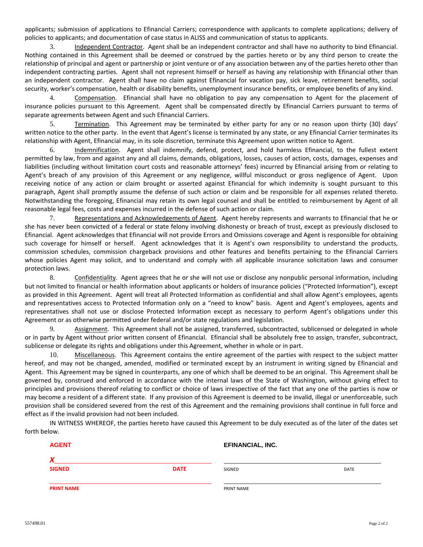applicants; submission of applications to Efinancial Carriers; correspondence with applicants to complete applications; delivery of policies to applicants; and documentation of case status in ALISS and communication of status to applicants.

3. Independent Contractor. Agent shall be an independent contractor and shall have no authority to bind Efinancial. Nothing contained in this Agreement shall be deemed or construed by the parties hereto or by any third person to create the relationship of principal and agent or partnership or joint venture or of any association between any of the parties hereto other than independent contracting parties. Agent shall not represent himself or herself as having any relationship with Efinancial other than an independent contractor. Agent shall have no claim against Efinancial for vacation pay, sick leave, retirement benefits, social security, worker's compensation, health or disability benefits, unemployment insurance benefits, or employee benefits of any kind.

4. Compensation. Efinancial shall have no obligation to pay any compensation to Agent for the placement of insurance policies pursuant to this Agreement. Agent shall be compensated directly by Efinancial Carriers pursuant to terms of separate agreements between Agent and such Efinancial Carriers.

5. Termination. This Agreement may be terminated by either party for any or no reason upon thirty (30) days' written notice to the other party. In the event that Agent's license is terminated by any state, or any Efinancial Carrier terminates its relationship with Agent, Efinancial may, in its sole discretion, terminate this Agreement upon written notice to Agent.

6. Indemnification. Agent shall indemnify, defend, protect, and hold harmless Efinancial, to the fullest extent permitted by law, from and against any and all claims, demands, obligations, losses, causes of action, costs, damages, expenses and liabilities (including without limitation court costs and reasonable attorneys' fees) incurred by Efinancial arising from or relating to Agent's breach of any provision of this Agreement or any negligence, willful misconduct or gross negligence of Agent. Upon receiving notice of any action or claim brought or asserted against Efinancial for which indemnity is sought pursuant to this paragraph, Agent shall promptly assume the defense of such action or claim and be responsible for all expenses related thereto. Notwithstanding the foregoing, Efinancial may retain its own legal counsel and shall be entitled to reimbursement by Agent of all reasonable legal fees, costs and expenses incurred in the defense of such action or claim.

7. Representations and Acknowledgements of Agent. Agent hereby represents and warrants to Efinancial that he or she has never been convicted of a federal or state felony involving dishonesty or breach of trust, except as previously disclosed to Efinancial. Agent acknowledges that Efinancial will not provide Errors and Omissions coverage and Agent is responsible for obtaining such coverage for himself or herself. Agent acknowledges that it is Agent's own responsibility to understand the products, commission schedules, commission chargeback provisions and other features and benefits pertaining to the Efinancial Carriers whose policies Agent may solicit, and to understand and comply with all applicable insurance solicitation laws and consumer protection laws.

8. Confidentiality. Agent agrees that he or she will not use or disclose any nonpublic personal information, including but not limited to financial or health information about applicants or holders of insurance policies ("Protected Information"), except as provided in this Agreement. Agent will treat all Protected Information as confidential and shall allow Agent's employees, agents and representatives access to Protected Information only on a "need to know" basis. Agent and Agent's employees, agents and representatives shall not use or disclose Protected Information except as necessary to perform Agent's obligations under this Agreement or as otherwise permitted under federal and/or state regulations and legislation.

9. Assignment. This Agreement shall not be assigned, transferred, subcontracted, sublicensed or delegated in whole or in party by Agent without prior written consent of Efinancial. Efinancial shall be absolutely free to assign, transfer, subcontract, sublicense or delegate its rights and obligations under this Agreement, whether in whole or in part.

10. Miscellaneous. This Agreement contains the entire agreement of the parties with respect to the subject matter hereof, and may not be changed, amended, modified or terminated except by an instrument in writing signed by Efinancial and Agent. This Agreement may be signed in counterparts, any one of which shall be deemed to be an original. This Agreement shall be governed by, construed and enforced in accordance with the internal laws of the State of Washington, without giving effect to principles and provisions thereof relating to conflict or choice of laws irrespective of the fact that any one of the parties is now or may become a resident of a different state. If any provision of this Agreement is deemed to be invalid, illegal or unenforceable, such provision shall be considered severed from the rest of this Agreement and the remaining provisions shall continue in full force and effect as if the invalid provision had not been included.

IN WITNESS WHEREOF, the parties hereto have caused this Agreement to be duly executed as of the later of the dates set forth below.

| <b>AGENT</b>      |             | <b>EFINANCIAL, INC.</b> |      |
|-------------------|-------------|-------------------------|------|
|                   |             |                         |      |
| <b>SIGNED</b>     | <b>DATE</b> | SIGNED                  | DATE |
| <b>PRINT NAME</b> |             | PRINT NAME              |      |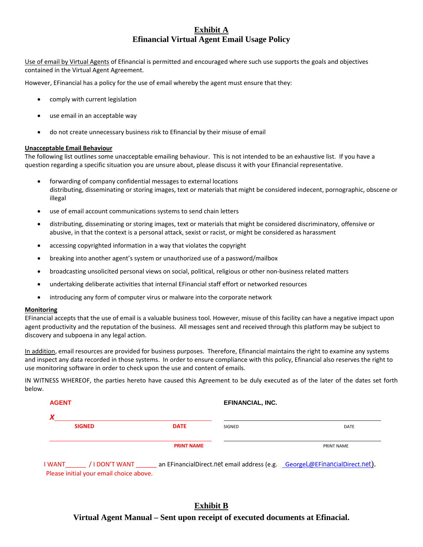## **Exhibit A Efinancial Virtual Agent Email Usage Policy**

Use of email by Virtual Agents of Efinancial is permitted and encouraged where such use supports the goals and objectives contained in the Virtual Agent Agreement.

However, EFinancial has a policy for the use of email whereby the agent must ensure that they:

- comply with current legislation
- use email in an acceptable way
- do not create unnecessary business risk to Efinancial by their misuse of email

#### **Unacceptable Email Behaviour**

The following list outlines some unacceptable emailing behaviour. This is not intended to be an exhaustive list. If you have a question regarding a specific situation you are unsure about, please discuss it with your Efinancial representative.

- forwarding of company confidential messages to external locations distributing, disseminating or storing images, text or materials that might be considered indecent, pornographic, obscene or illegal
- use of email account communications systems to send chain letters
- distributing, disseminating or storing images, text or materials that might be considered discriminatory, offensive or abusive, in that the context is a personal attack, sexist or racist, or might be considered as harassment
- accessing copyrighted information in a way that violates the copyright
- breaking into another agent's system or unauthorized use of a password/mailbox
- broadcasting unsolicited personal views on social, political, religious or other non‐business related matters
- undertaking deliberate activities that internal EFinancial staff effort or networked resources
- introducing any form of computer virus or malware into the corporate network

#### **Monitoring**

EFinancial accepts that the use of email is a valuable business tool. However, misuse of this facility can have a negative impact upon agent productivity and the reputation of the business. All messages sent and received through this platform may be subject to discovery and subpoena in any legal action.

In addition, email resources are provided for business purposes. Therefore, Efinancial maintains the right to examine any systems and inspect any data recorded in those systems. In order to ensure compliance with this policy, Efinancial also reserves the right to use monitoring software in order to check upon the use and content of emails.

IN WITNESS WHEREOF, the parties hereto have caused this Agreement to be duly executed as of the later of the dates set forth below.

| <b>AGENT</b> |                | <b>EFINANCIAL, INC.</b> |        |                                                                            |  |
|--------------|----------------|-------------------------|--------|----------------------------------------------------------------------------|--|
|              |                |                         |        |                                                                            |  |
|              | <b>SIGNED</b>  | <b>DATE</b>             | SIGNED | DATE                                                                       |  |
|              |                | <b>PRINT NAME</b>       |        | PRINT NAME                                                                 |  |
| I WANT       | / I DON'T WANT |                         |        | an EFinancialDirect.net email address (e.g. GeorgeL@EFinancialDirect.net). |  |

### Please initial your email choice above.

# **Exhibit B**

### **Virtual Agent Manual – Sent upon receipt of executed documents at Efinacial.**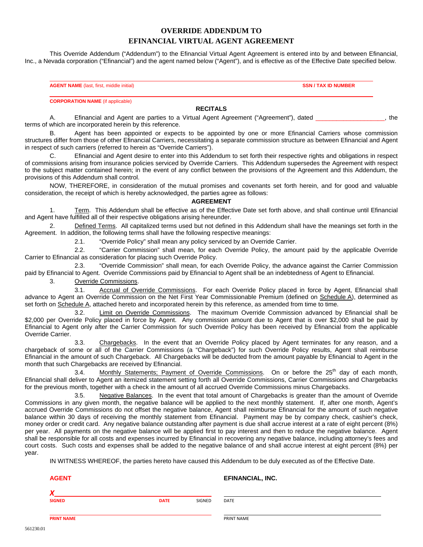## **OVERRIDE ADDENDUM TO EFINANCIAL VIRTUAL AGENT AGREEMENT**

This Override Addendum ("Addendum") to the Efinancial Virtual Agent Agreement is entered into by and between Efinancial, Inc., a Nevada corporation ("Efinancial") and the agent named below ("Agent"), and is effective as of the Effective Date specified below.

**AGENT NAME** (last, first, middle initial) **SSN / TAX ID NUMBER**

**CORPORATION NAME** (if applicable)

#### **RECITALS**

A. Efinancial and Agent are parties to a Virtual Agent Agreement ("Agreement"), dated \_\_\_\_\_\_\_\_\_\_\_\_\_\_\_\_\_\_\_, the terms of which are incorporated herein by this reference.

B. Agent has been appointed or expects to be appointed by one or more Efinancial Carriers whose commission structures differ from those of other Efinancial Carriers, necessitating a separate commission structure as between Efinancial and Agent in respect of such carriers (referred to herein as "Override Carriers").

Efinancial and Agent desire to enter into this Addendum to set forth their respective rights and obligations in respect of commissions arising from insurance policies serviced by Override Carriers. This Addendum supersedes the Agreement with respect to the subject matter contained herein; in the event of any conflict between the provisions of the Agreement and this Addendum, the provisions of this Addendum shall control.

NOW, THEREFORE, in consideration of the mutual promises and covenants set forth herein, and for good and valuable consideration, the receipt of which is hereby acknowledged, the parties agree as follows:

#### **AGREEMENT**

1. Term. This Addendum shall be effective as of the Effective Date set forth above, and shall continue until Efinancial and Agent have fulfilled all of their respective obligations arising hereunder.

2. Defined Terms. All capitalized terms used but not defined in this Addendum shall have the meanings set forth in the Agreement. In addition, the following terms shall have the following respective meanings:

2.1. "Override Policy" shall mean any policy serviced by an Override Carrier.

2.2. "Carrier Commission" shall mean, for each Override Policy, the amount paid by the applicable Override Carrier to Efinancial as consideration for placing such Override Policy.

2.3. "Override Commission" shall mean, for each Override Policy, the advance against the Carrier Commission paid by Efinancial to Agent. Override Commissions paid by Efinancial to Agent shall be an indebtedness of Agent to Efinancial.

3. Override Commissions.

3.1. Accrual of Override Commissions. For each Override Policy placed in force by Agent, Efinancial shall advance to Agent an Override Commission on the Net First Year Commissionable Premium (defined on Schedule A), determined as set forth on Schedule A, attached hereto and incorporated herein by this reference, as amended from time to time.

3.2. Limit on Override Commissions. The maximum Override Commission advanced by Efinancial shall be \$2,000 per Override Policy placed in force by Agent. Any commission amount due to Agent that is over \$2,000 shall be paid by Efinancial to Agent only after the Carrier Commission for such Override Policy has been received by Efinancial from the applicable Override Carrier.

3.3. Chargebacks. In the event that an Override Policy placed by Agent terminates for any reason, and a chargeback of some or all of the Carrier Commissions (a "Chargeback") for such Override Policy results, Agent shall reimburse Efinancial in the amount of such Chargeback. All Chargebacks will be deducted from the amount payable by Efinancial to Agent in the month that such Chargebacks are received by Efinancial.

3.4. Monthly Statements; Payment of Override Commissions. On or before the 25<sup>th</sup> day of each month, Efinancial shall deliver to Agent an itemized statement setting forth all Override Commissions, Carrier Commissions and Chargebacks for the previous month, together with a check in the amount of all accrued Override Commissions minus Chargebacks.

3.5. Negative Balances. In the event that total amount of Chargebacks is greater than the amount of Override Commissions in any given month, the negative balance will be applied to the next monthly statement. If, after one month, Agent's accrued Override Commissions do not offset the negative balance, Agent shall reimburse Efinancial for the amount of such negative balance within 30 days of receiving the monthly statement from Efinancial. Payment may be by company check, cashier's check, money order or credit card. Any negative balance outstanding after payment is due shall accrue interest at a rate of eight percent (8%) per year. All payments on the negative balance will be applied first to pay interest and then to reduce the negative balance. Agent shall be responsible for all costs and expenses incurred by Efinancial in recovering any negative balance, including attorney's fees and court costs. Such costs and expenses shall be added to the negative balance of and shall accrue interest at eight percent (8%) per year.

IN WITNESS WHEREOF, the parties hereto have caused this Addendum to be duly executed as of the Effective Date.

AGENT **AGENT EFINANCIAL, INC.** 

*X* 

**SIGNED DATE** SIGNED DATE

561230.01

**PRINT NAME PRINT NAME PRINT NAME**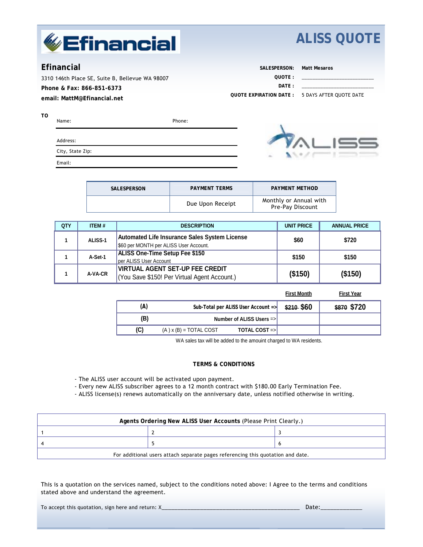

# **ALISS QUOTE**

# **Efinancial**

**TO** 

3310 146th Place SE, Suite B, Bellevue WA 98007 **Phone & Fax: 866-851-6373 email: MattM@Efinancial.net**

| SALESPERSON:            | Matt Mesaros            |
|-------------------------|-------------------------|
| OUOTE:                  |                         |
| $\overline{DATF}$ :     |                         |
| OUOTE EXPIRATION DATE : | 5 DAYS AFTER OUOTE DATE |

| Name:            | Phone: |
|------------------|--------|
| Address:         |        |
| City, State Zip: |        |
| Email:           |        |



| SALESPERSON | <b>PAYMENT TERMS</b> | <b>PAYMENT METHOD</b>                      |
|-------------|----------------------|--------------------------------------------|
|             | Due Upon Receipt     | Monthly or Annual with<br>Pre-Pay Discount |

| <b>QTY</b> | ITEM#          | <b>DESCRIPTION</b>                                                                             | <b>UNIT PRICE</b> | <b>ANNUAL PRICE</b> |
|------------|----------------|------------------------------------------------------------------------------------------------|-------------------|---------------------|
|            | <b>ALISS-1</b> | <b>Automated Life Insurance Sales System License</b><br>\$60 per MONTH per ALISS User Account. | \$60              | \$720               |
|            | A-Set-1        | <b>ALISS One-Time Setup Fee \$150</b><br>per ALISS User Account                                | \$150             | \$150               |
|            | A-VA-CR        | <b>VIRTUAL AGENT SET-UP FEE CREDIT</b><br>(You Save \$150! Per Virtual Agent Account.)         | (\$150)           | (\$150)             |

**First Month First Year**

| (A) |                            | Sub-Total per ALISS User Account $\Rightarrow$ | \$210 \$60 | \$870 \$720 |
|-----|----------------------------|------------------------------------------------|------------|-------------|
| (B) |                            | Number of ALISS Users $\Rightarrow$            |            |             |
| (C) | $(A)$ x $(B)$ = TOTAL COST | <b>TOTAL COST =&gt;I</b>                       |            |             |

WA sales tax will be added to the amouint charged to WA residents.

#### **TERMS & CONDITIONS**

- The ALISS user account will be activated upon payment.

- Every new ALISS subscriber agrees to a 12 month contract with \$180.00 Early Termination Fee.

- ALISS license(s) renews automatically on the anniversary date, unless notified otherwise in writing.

| Agents Ordering New ALISS User Accounts (Please Print Clearly.)                 |  |  |  |  |  |  |
|---------------------------------------------------------------------------------|--|--|--|--|--|--|
|                                                                                 |  |  |  |  |  |  |
|                                                                                 |  |  |  |  |  |  |
| For additional users attach separate pages referencing this quotation and date. |  |  |  |  |  |  |

This is a quotation on the services named, subject to the conditions noted above: I Agree to the terms and conditions stated above and understand the agreement.

To accept this quotation, sign here and return: X\_\_\_\_\_\_\_\_\_\_\_\_\_\_\_\_\_\_\_\_\_\_\_\_\_\_\_\_\_\_\_\_\_\_\_\_\_\_\_\_\_\_\_ Date:\_\_\_\_\_\_\_\_\_\_\_\_\_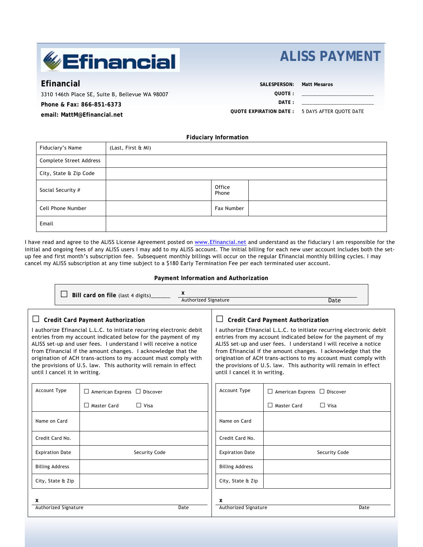# **Efinancial**

# **ALISS PAYMENT**

\_\_\_\_\_\_\_\_\_\_\_\_\_\_\_\_\_\_\_\_\_\_\_\_\_\_\_ \_\_\_\_\_\_\_\_\_\_\_\_\_\_\_\_\_\_\_\_\_\_\_\_\_\_\_

**Efinancial** 

3310 146th Place SE, Suite B, Bellevue WA 98007 **Phone & Fax: 866-851-6373 email: MattM@Efinancial.net**

**SALESPERSON: Matt Mesaros** 

**QUOTE :** 

**DATE :** 

**QUOTE EXPIRATION DATE :**  5 DAYS AFTER QUOTE DATE

**Fiduciary Information** 

| Fiduciary's Name        | (Last, First & MI) |                 |  |
|-------------------------|--------------------|-----------------|--|
| Complete Street Address |                    |                 |  |
| City, State & Zip Code  |                    |                 |  |
| Social Security #       |                    | Office<br>Phone |  |
| Cell Phone Number       |                    | Fax Number      |  |
| Email                   |                    |                 |  |

I have read and agree to the ALISS License Agreement posted on www.Efinancial.net and understand as the fiduciary I am responsible for the initial and ongoing fees of any ALISS users I may add to my ALISS account. The initial billing for each new user account includes both the setup fee and first month's subscription fee. Subsequent monthly billings will occur on the regular Efinancial monthly billing cycles. I may cancel my ALISS subscription at any time subject to a \$180 Early Termination Fee per each terminated user account.

**Payment Information and Authorization** 

|                                                                                                                                                                                                                                                                                                                                                                                                                                                                                                |                      | Bill card on file (last 4 digits)                                            | x<br>Authorized Signature     |                                                                                                                                                                                                                                                                                                                                                                                                                                                               |                                                               | Date          |  |
|------------------------------------------------------------------------------------------------------------------------------------------------------------------------------------------------------------------------------------------------------------------------------------------------------------------------------------------------------------------------------------------------------------------------------------------------------------------------------------------------|----------------------|------------------------------------------------------------------------------|-------------------------------|---------------------------------------------------------------------------------------------------------------------------------------------------------------------------------------------------------------------------------------------------------------------------------------------------------------------------------------------------------------------------------------------------------------------------------------------------------------|---------------------------------------------------------------|---------------|--|
| <b>Credit Card Payment Authorization</b><br>I authorize Efinancial L.L.C. to initiate recurring electronic debit<br>entries from my account indicated below for the payment of my<br>ALISS set-up and user fees. I understand I will receive a notice<br>from Efinancial if the amount changes. I acknowledge that the<br>origination of ACH trans-actions to my account must comply with<br>the provisions of U.S. law. This authority will remain in effect<br>until I cancel it in writing. |                      |                                                                              | until I cancel it in writing. | <b>Credit Card Payment Authorization</b><br>I authorize Efinancial L.L.C. to initiate recurring electronic debit<br>entries from my account indicated below for the payment of my<br>ALISS set-up and user fees. I understand I will receive a notice<br>from Efinancial if the amount changes. I acknowledge that the<br>origination of ACH trans-actions to my account must comply with<br>the provisions of U.S. law. This authority will remain in effect |                                                               |               |  |
| Account Type                                                                                                                                                                                                                                                                                                                                                                                                                                                                                   |                      | $\Box$ American Express $\Box$ Discover<br>$\Box$ Visa<br>$\Box$ Master Card |                               | <b>Account Type</b>                                                                                                                                                                                                                                                                                                                                                                                                                                           | $\Box$ American Express $\Box$ Discover<br>$\Box$ Master Card | $\Box$ Visa   |  |
| Name on Card                                                                                                                                                                                                                                                                                                                                                                                                                                                                                   |                      |                                                                              |                               | Name on Card                                                                                                                                                                                                                                                                                                                                                                                                                                                  |                                                               |               |  |
| Credit Card No.                                                                                                                                                                                                                                                                                                                                                                                                                                                                                |                      |                                                                              |                               | Credit Card No.                                                                                                                                                                                                                                                                                                                                                                                                                                               |                                                               |               |  |
| <b>Expiration Date</b>                                                                                                                                                                                                                                                                                                                                                                                                                                                                         |                      | Security Code                                                                |                               | <b>Expiration Date</b>                                                                                                                                                                                                                                                                                                                                                                                                                                        |                                                               | Security Code |  |
| <b>Billing Address</b>                                                                                                                                                                                                                                                                                                                                                                                                                                                                         |                      |                                                                              |                               | <b>Billing Address</b>                                                                                                                                                                                                                                                                                                                                                                                                                                        |                                                               |               |  |
|                                                                                                                                                                                                                                                                                                                                                                                                                                                                                                | City, State & Zip    |                                                                              |                               | City, State & Zip                                                                                                                                                                                                                                                                                                                                                                                                                                             |                                                               |               |  |
| x                                                                                                                                                                                                                                                                                                                                                                                                                                                                                              | Authorized Signature |                                                                              | Date                          | x<br>Authorized Signature                                                                                                                                                                                                                                                                                                                                                                                                                                     |                                                               | Date          |  |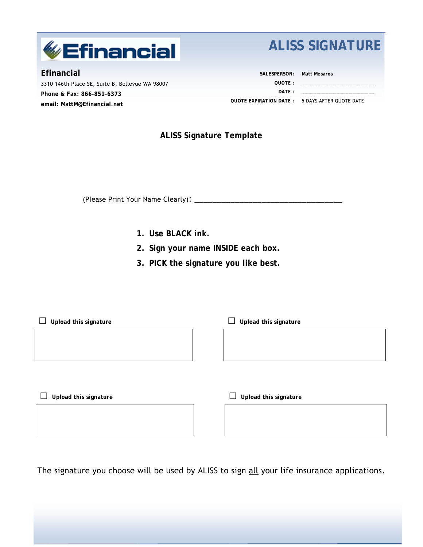

**Efinancial**  3310 146th Place SE, Suite B, Bellevue WA 98007 **Phone & Fax: 866-851-6373 email: MattM@Efinancial.net**

# **ALISS SIGNATURE**

**SALESPERSON: Matt Mesaros QUOTE : DATE : QUOTE EXPIRATION DATE :**  5 DAYS AFTER QUOTE DATE \_\_\_\_\_\_\_\_\_\_\_\_\_\_\_\_\_\_\_\_\_\_\_\_\_\_\_ \_\_\_\_\_\_\_\_\_\_\_\_\_\_\_\_\_\_\_\_\_\_\_\_\_\_\_

# **ALISS Signature Template**

(Please Print Your Name Clearly): \_\_\_\_\_\_\_\_\_\_\_\_\_\_\_\_\_\_\_\_\_\_\_\_\_\_\_\_\_\_\_\_\_

- **1. Use BLACK ink.**
- **2. Sign your name INSIDE each box.**
- **3. PICK the signature you like best.**

| Upload this signature | Upload this signature |
|-----------------------|-----------------------|
|                       |                       |
|                       |                       |
|                       |                       |
|                       |                       |
| Upload this signature | Upload this signature |
|                       |                       |
|                       |                       |
|                       |                       |

The signature you choose will be used by ALISS to sign all your life insurance applications.